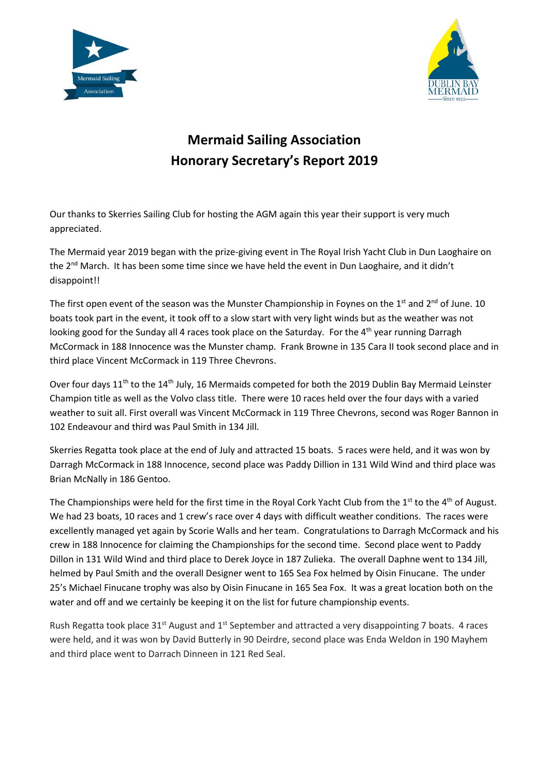



## **Mermaid Sailing Association Honorary Secretary's Report 2019**

Our thanks to Skerries Sailing Club for hosting the AGM again this year their support is very much appreciated.

The Mermaid year 2019 began with the prize-giving event in The Royal Irish Yacht Club in Dun Laoghaire on the 2<sup>nd</sup> March. It has been some time since we have held the event in Dun Laoghaire, and it didn't disappoint!!

The first open event of the season was the Munster Championship in Foynes on the 1<sup>st</sup> and 2<sup>nd</sup> of June. 10 boats took part in the event, it took off to a slow start with very light winds but as the weather was not looking good for the Sunday all 4 races took place on the Saturday. For the 4<sup>th</sup> year running Darragh McCormack in 188 Innocence was the Munster champ. Frank Browne in 135 Cara II took second place and in third place Vincent McCormack in 119 Three Chevrons.

Over four days 11<sup>th</sup> to the 14<sup>th</sup> July, 16 Mermaids competed for both the 2019 Dublin Bay Mermaid Leinster Champion title as well as the Volvo class title. There were 10 races held over the four days with a varied weather to suit all. First overall was Vincent McCormack in 119 Three Chevrons, second was Roger Bannon in 102 Endeavour and third was Paul Smith in 134 Jill.

Skerries Regatta took place at the end of July and attracted 15 boats. 5 races were held, and it was won by Darragh McCormack in 188 Innocence, second place was Paddy Dillion in 131 Wild Wind and third place was Brian McNally in 186 Gentoo.

The Championships were held for the first time in the Royal Cork Yacht Club from the 1<sup>st</sup> to the 4<sup>th</sup> of August. We had 23 boats, 10 races and 1 crew's race over 4 days with difficult weather conditions. The races were excellently managed yet again by Scorie Walls and her team. Congratulations to Darragh McCormack and his crew in 188 Innocence for claiming the Championships for the second time. Second place went to Paddy Dillon in 131 Wild Wind and third place to Derek Joyce in 187 Zulieka. The overall Daphne went to 134 Jill, helmed by Paul Smith and the overall Designer went to 165 Sea Fox helmed by Oisin Finucane. The under 25's Michael Finucane trophy was also by Oisin Finucane in 165 Sea Fox. It was a great location both on the water and off and we certainly be keeping it on the list for future championship events.

Rush Regatta took place  $31^{st}$  August and  $1^{st}$  September and attracted a very disappointing 7 boats. 4 races were held, and it was won by David Butterly in 90 Deirdre, second place was Enda Weldon in 190 Mayhem and third place went to Darrach Dinneen in 121 Red Seal.